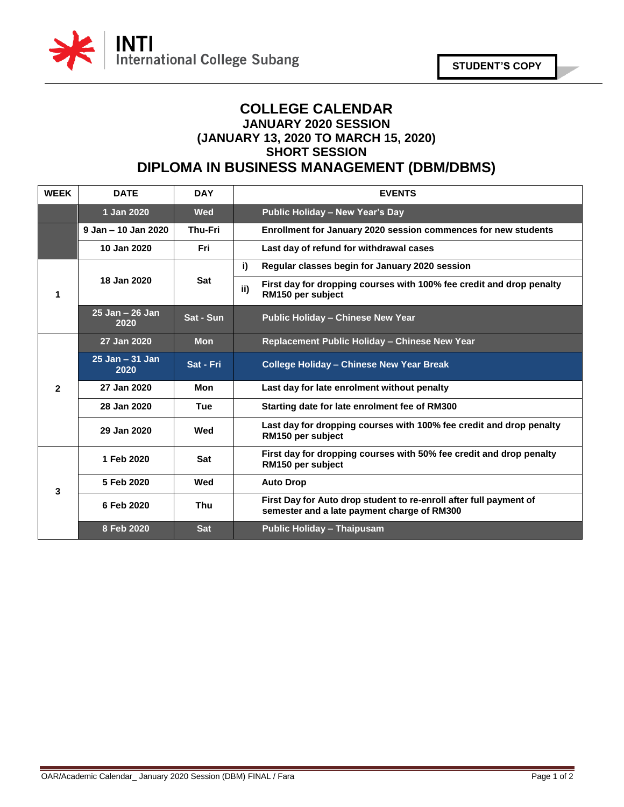

## **COLLEGE CALENDAR JANUARY 2020 SESSION (JANUARY 13, 2020 TO MARCH 15, 2020) SHORT SESSION DIPLOMA IN BUSINESS MANAGEMENT (DBM/DBMS)**

| <b>WEEK</b>  | <b>DATE</b>                | <b>DAY</b>     | <b>EVENTS</b>                                                                                                     |
|--------------|----------------------------|----------------|-------------------------------------------------------------------------------------------------------------------|
|              | 1 Jan 2020                 | <b>Wed</b>     | <b>Public Holiday - New Year's Day</b>                                                                            |
|              | 9 Jan - 10 Jan 2020        | <b>Thu-Fri</b> | Enrollment for January 2020 session commences for new students                                                    |
|              | 10 Jan 2020                | Fri.           | Last day of refund for withdrawal cases                                                                           |
| 1            | 18 Jan 2020                | Sat            | i)<br>Regular classes begin for January 2020 session                                                              |
|              |                            |                | First day for dropping courses with 100% fee credit and drop penalty<br>ii)<br>RM150 per subject                  |
|              | $25$ Jan $-26$ Jan<br>2020 | Sat - Sun      | <b>Public Holiday - Chinese New Year</b>                                                                          |
| $\mathbf{2}$ | 27 Jan 2020                | <b>Mon</b>     | Replacement Public Holiday - Chinese New Year                                                                     |
|              | $25$ Jan $-31$ Jan<br>2020 | Sat - Fri      | <b>College Holiday - Chinese New Year Break</b>                                                                   |
|              | 27 Jan 2020                | Mon            | Last day for late enrolment without penalty                                                                       |
|              | 28 Jan 2020                | Tue            | Starting date for late enrolment fee of RM300                                                                     |
|              | 29 Jan 2020                | Wed            | Last day for dropping courses with 100% fee credit and drop penalty<br>RM150 per subject                          |
| 3            | 1 Feb 2020                 | Sat            | First day for dropping courses with 50% fee credit and drop penalty<br>RM150 per subject                          |
|              | 5 Feb 2020                 | Wed            | <b>Auto Drop</b>                                                                                                  |
|              | 6 Feb 2020                 | <b>Thu</b>     | First Day for Auto drop student to re-enroll after full payment of<br>semester and a late payment charge of RM300 |
|              | 8 Feb 2020                 | <b>Sat</b>     | <b>Public Holiday - Thaipusam</b>                                                                                 |